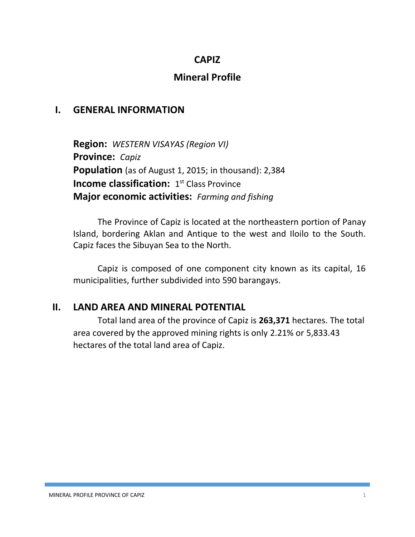#### **CAPIZ**

## **Mineral Profile**

### **I. GENERAL INFORMATION**

**Region:** *WESTERN VISAYAS (Region VI)* **Province:** *Capiz* **Population** (as of August 1, 2015; in thousand): 2,384 **Income classification:** 1<sup>st</sup> Class Province **Major economic activities:** *Farming and fishing*

The Province of Capiz is located at the northeastern portion of Panay Island, bordering Aklan and Antique to the west and Iloilo to the South. Capiz faces the Sibuyan Sea to the North.

Capiz is composed of one component city known as its capital, 16 municipalities, further subdivided into 590 barangays.

#### **II. LAND AREA AND MINERAL POTENTIAL**

Total land area of the province of Capiz is **263,371** hectares. The total area covered by the approved mining rights is only 2.21% or 5,833.43 hectares of the total land area of Capiz.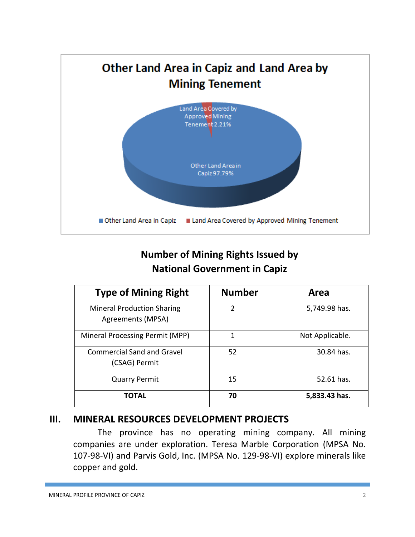

# **Number of Mining Rights Issued by National Government in Capiz**

| <b>Type of Mining Right</b>                            | <b>Number</b>  | Area            |
|--------------------------------------------------------|----------------|-----------------|
| <b>Mineral Production Sharing</b><br>Agreements (MPSA) | $\overline{2}$ | 5,749.98 has.   |
| Mineral Processing Permit (MPP)                        | 1              | Not Applicable. |
| <b>Commercial Sand and Gravel</b><br>(CSAG) Permit     | 52             | 30.84 has.      |
| <b>Quarry Permit</b>                                   | 15             | 52.61 has.      |
| <b>TOTAL</b>                                           | 70             | 5,833.43 has.   |

## **III. MINERAL RESOURCES DEVELOPMENT PROJECTS**

The province has no operating mining company. All mining companies are under exploration. Teresa Marble Corporation (MPSA No. 107-98-VI) and Parvis Gold, Inc. (MPSA No. 129-98-VI) explore minerals like copper and gold.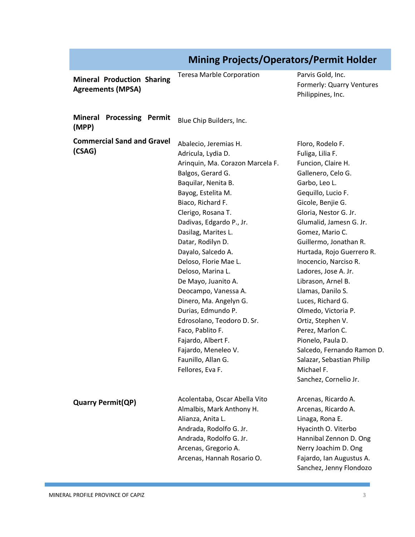|                                                               | <b>Mining Projects/Operators/Permit Holder</b>                                                                                                                                                                                                                                                                                                                                                                                                                                                                                                                                   |                                                                                                                                                                                                                                                                                                                                                                                                                                                                                                                                                                                    |  |
|---------------------------------------------------------------|----------------------------------------------------------------------------------------------------------------------------------------------------------------------------------------------------------------------------------------------------------------------------------------------------------------------------------------------------------------------------------------------------------------------------------------------------------------------------------------------------------------------------------------------------------------------------------|------------------------------------------------------------------------------------------------------------------------------------------------------------------------------------------------------------------------------------------------------------------------------------------------------------------------------------------------------------------------------------------------------------------------------------------------------------------------------------------------------------------------------------------------------------------------------------|--|
| <b>Mineral Production Sharing</b><br><b>Agreements (MPSA)</b> | <b>Teresa Marble Corporation</b>                                                                                                                                                                                                                                                                                                                                                                                                                                                                                                                                                 | Parvis Gold, Inc.<br>Formerly: Quarry Ventures<br>Philippines, Inc.                                                                                                                                                                                                                                                                                                                                                                                                                                                                                                                |  |
| Mineral Processing Permit<br>(MPP)                            | Blue Chip Builders, Inc.                                                                                                                                                                                                                                                                                                                                                                                                                                                                                                                                                         |                                                                                                                                                                                                                                                                                                                                                                                                                                                                                                                                                                                    |  |
| <b>Commercial Sand and Gravel</b><br>(CSAG)                   | Abalecio, Jeremias H.<br>Adricula, Lydia D.<br>Arinquin, Ma. Corazon Marcela F.<br>Balgos, Gerard G.<br>Baquilar, Nenita B.<br>Bayog, Estelita M.<br>Biaco, Richard F.<br>Clerigo, Rosana T.<br>Dadivas, Edgardo P., Jr.<br>Dasilag, Marites L.<br>Datar, Rodilyn D.<br>Dayalo, Salcedo A.<br>Deloso, Florie Mae L.<br>Deloso, Marina L.<br>De Mayo, Juanito A.<br>Deocampo, Vanessa A.<br>Dinero, Ma. Angelyn G.<br>Durias, Edmundo P.<br>Edrosolano, Teodoro D. Sr.<br>Faco, Pablito F.<br>Fajardo, Albert F.<br>Fajardo, Meneleo V.<br>Faunillo, Allan G.<br>Fellores, Eva F. | Floro, Rodelo F.<br>Fuliga, Lilia F.<br>Funcion, Claire H.<br>Gallenero, Celo G.<br>Garbo, Leo L.<br>Gequillo, Lucio F.<br>Gicole, Benjie G.<br>Gloria, Nestor G. Jr.<br>Glumalid, Jamesn G. Jr.<br>Gomez, Mario C.<br>Guillermo, Jonathan R.<br>Hurtada, Rojo Guerrero R.<br>Inocencio, Narciso R.<br>Ladores, Jose A. Jr.<br>Librason, Arnel B.<br>Llamas, Danilo S.<br>Luces, Richard G.<br>Olmedo, Victoria P.<br>Ortiz, Stephen V.<br>Perez, Marlon C.<br>Pionelo, Paula D.<br>Salcedo, Fernando Ramon D.<br>Salazar, Sebastian Philip<br>Michael F.<br>Sanchez, Cornelio Jr. |  |
| <b>Quarry Permit(QP)</b>                                      | Acolentaba, Oscar Abella Vito<br>Almalbis, Mark Anthony H.<br>Alianza, Anita L.<br>Andrada, Rodolfo G. Jr.<br>Andrada, Rodolfo G. Jr.<br>Arcenas, Gregorio A.<br>Arcenas, Hannah Rosario O.                                                                                                                                                                                                                                                                                                                                                                                      | Arcenas, Ricardo A.<br>Arcenas, Ricardo A.<br>Linaga, Rona E.<br>Hyacinth O. Viterbo<br>Hannibal Zennon D. Ong<br>Nerry Joachim D. Ong<br>Fajardo, Ian Augustus A.<br>Sanchez, Jenny Flondozo                                                                                                                                                                                                                                                                                                                                                                                      |  |